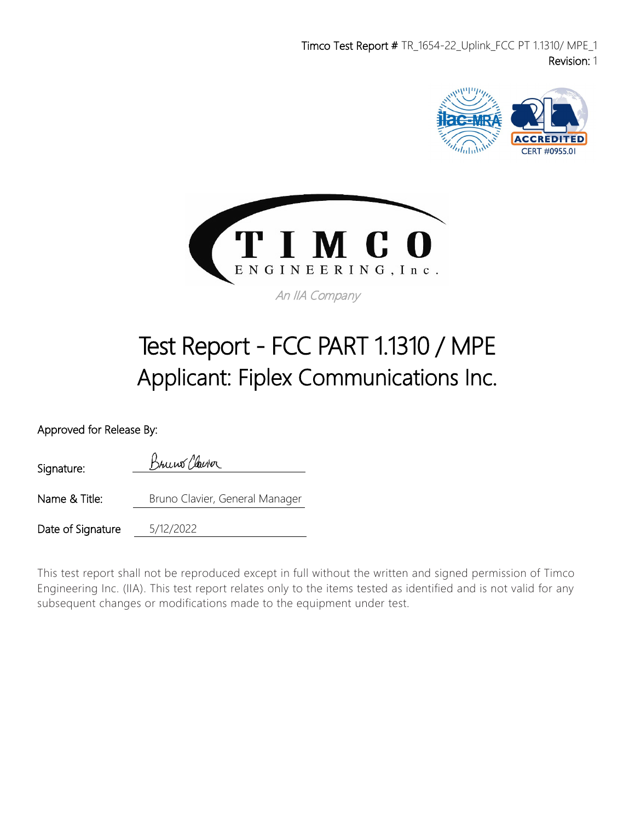Timco Test Report # TR\_1654-22\_Uplink\_FCC PT 1.1310/ MPE\_1 Revision: 1





# Test Report - FCC PART 1.1310 / MPE Applicant: Fiplex Communications Inc.

Approved for Release By:

Bruno Clairor Signature: Name & Title: Bruno Clavier, General Manager Date of Signature 5/12/2022

This test report shall not be reproduced except in full without the written and signed permission of Timco Engineering Inc. (IIA). This test report relates only to the items tested as identified and is not valid for any subsequent changes or modifications made to the equipment under test.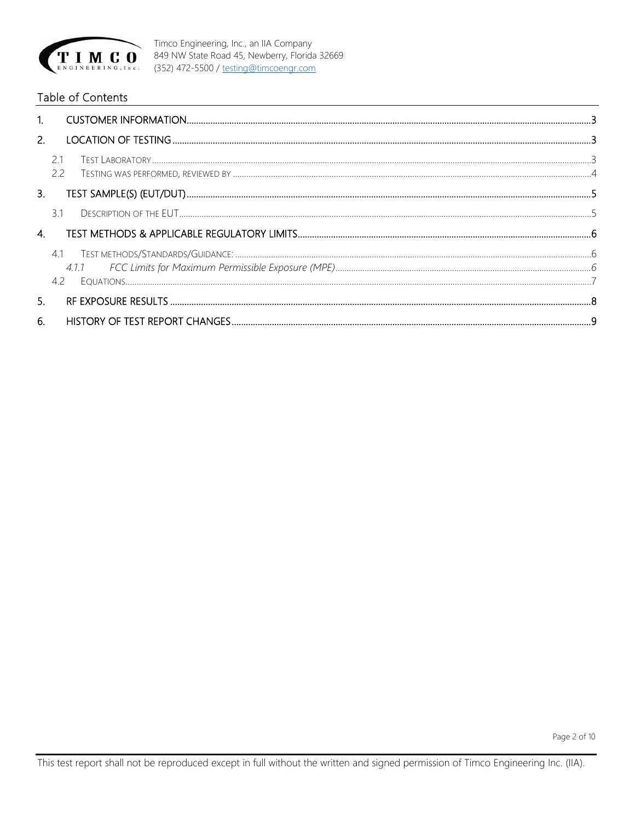

#### Table of Contents

| 2. |           |  |
|----|-----------|--|
|    | 21<br>2.2 |  |
| 3. |           |  |
|    | 31        |  |
| 4. |           |  |
|    | 41<br>4.2 |  |
| 5. |           |  |
| 6. |           |  |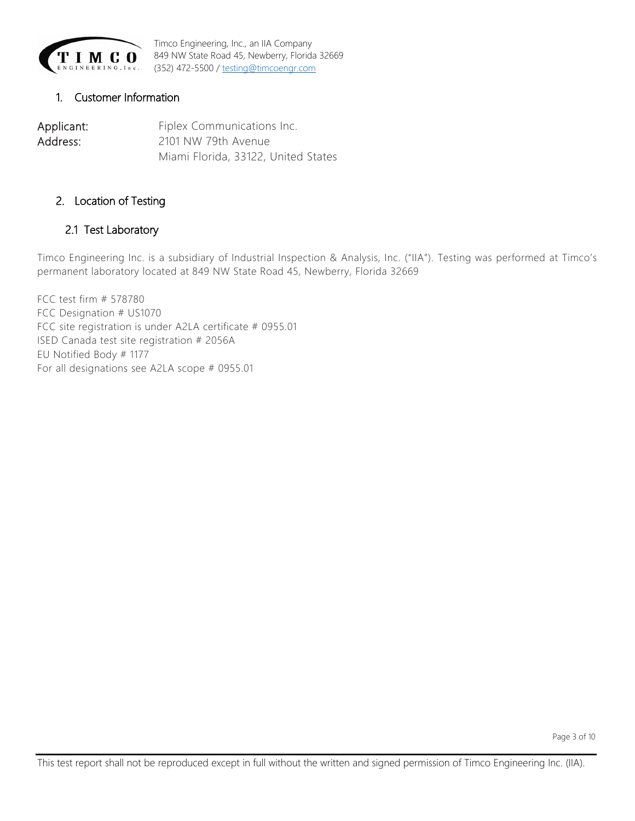

#### <span id="page-2-0"></span>1. Customer Information

Applicant: Fiplex Communications Inc. Address: 2101 NW 79th Avenue Miami Florida, 33122, United States

#### <span id="page-2-1"></span>2. Location of Testing

#### <span id="page-2-2"></span>2.1 Test Laboratory

Timco Engineering Inc. is a subsidiary of Industrial Inspection & Analysis, Inc. ("IIA"). Testing was performed at Timco's permanent laboratory located at 849 NW State Road 45, Newberry, Florida 32669

FCC test firm # 578780 FCC Designation # US1070 FCC site registration is under A2LA certificate # 0955.01 ISED Canada test site registration # 2056A EU Notified Body # 1177 For all designations see A2LA scope # 0955.01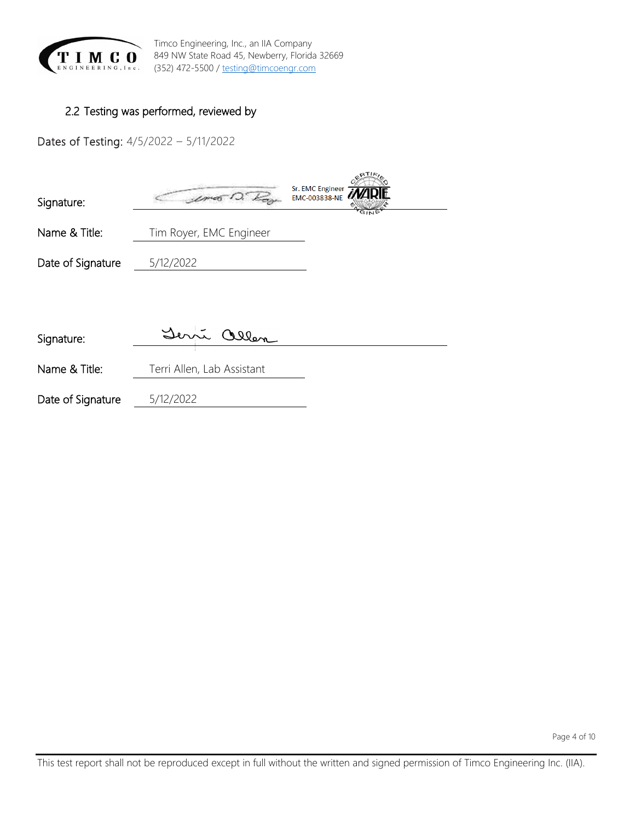

## <span id="page-3-0"></span>2.2 Testing was performed, reviewed by

Dates of Testing: 4/5/2022 – 5/11/2022

| Signature:        | Sr. EMC Engineer<br>EMC-003838-NE<br>GIN |
|-------------------|------------------------------------------|
| Name & Title:     | Tim Royer, EMC Engineer                  |
| Date of Signature | 5/12/2022                                |
| Signature:        | m allen                                  |

Name & Title: Terri Allen, Lab Assistant

Date of Signature 5/12/2022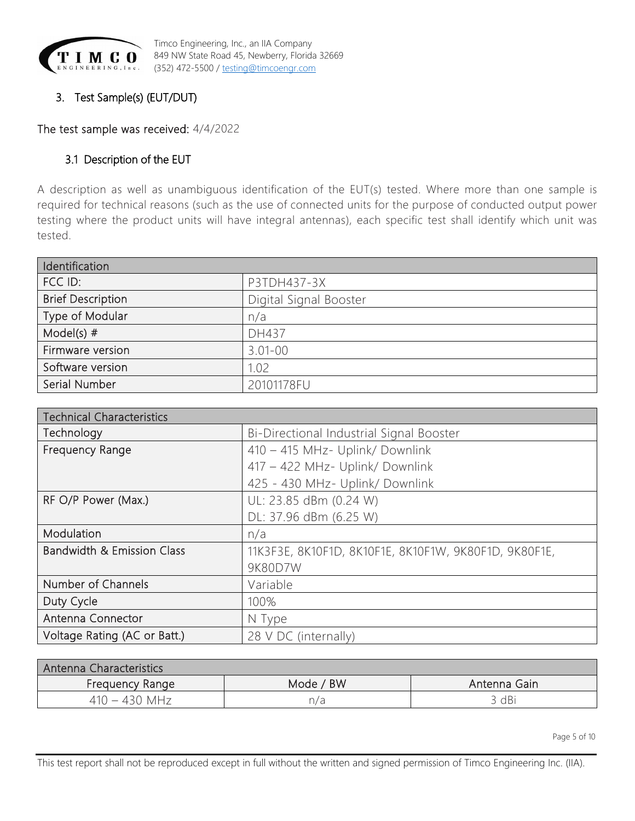

# <span id="page-4-0"></span>3. Test Sample(s) (EUT/DUT)

<span id="page-4-1"></span>The test sample was received: 4/4/2022

# 3.1 Description of the EUT

A description as well as unambiguous identification of the EUT(s) tested. Where more than one sample is required for technical reasons (such as the use of connected units for the purpose of conducted output power testing where the product units will have integral antennas), each specific test shall identify which unit was tested.

| Identification           |                        |  |  |  |
|--------------------------|------------------------|--|--|--|
| FCC ID:                  | P3TDH437-3X            |  |  |  |
| <b>Brief Description</b> | Digital Signal Booster |  |  |  |
| Type of Modular          | n/a                    |  |  |  |
| Model(s) $#$             | DH437                  |  |  |  |
| Firmware version         | $3.01 - 00$            |  |  |  |
| Software version         | 1.02                   |  |  |  |
| Serial Number            | 20101178FU             |  |  |  |

| <b>Technical Characteristics</b>      |                                                       |  |  |  |  |
|---------------------------------------|-------------------------------------------------------|--|--|--|--|
| Technology                            | Bi-Directional Industrial Signal Booster              |  |  |  |  |
| Frequency Range                       | 410 - 415 MHz- Uplink/ Downlink                       |  |  |  |  |
|                                       | 417 - 422 MHz- Uplink/ Downlink                       |  |  |  |  |
|                                       | 425 - 430 MHz- Uplink/ Downlink                       |  |  |  |  |
| RF O/P Power (Max.)                   | UL: 23.85 dBm (0.24 W)                                |  |  |  |  |
|                                       | DL: 37.96 dBm (6.25 W)                                |  |  |  |  |
| Modulation                            | n/a                                                   |  |  |  |  |
| <b>Bandwidth &amp; Emission Class</b> | 11K3F3E, 8K10F1D, 8K10F1E, 8K10F1W, 9K80F1D, 9K80F1E, |  |  |  |  |
|                                       | 9K80D7W                                               |  |  |  |  |
| Number of Channels                    | Variable                                              |  |  |  |  |
| Duty Cycle                            | 100%                                                  |  |  |  |  |
| Antenna Connector                     | N Type                                                |  |  |  |  |
| Voltage Rating (AC or Batt.)          | 28 V DC (internally)                                  |  |  |  |  |

| Antenna Characteristics |           |              |  |  |  |  |  |
|-------------------------|-----------|--------------|--|--|--|--|--|
| Frequency Range         | Mode / BW | Antenna Gain |  |  |  |  |  |
| 410 – 430 MHz           | n/a       | 3 dBi        |  |  |  |  |  |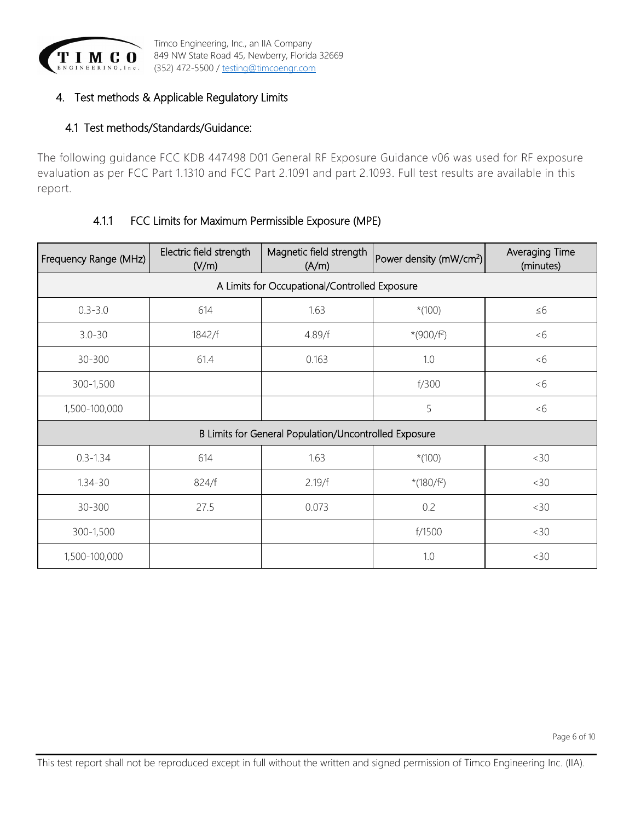

## <span id="page-5-0"></span>4. Test methods & Applicable Regulatory Limits

## <span id="page-5-1"></span>4.1 Test methods/Standards/Guidance:

The following guidance FCC KDB 447498 D01 General RF Exposure Guidance v06 was used for RF exposure evaluation as per FCC Part 1.1310 and FCC Part 2.1091 and part 2.1093. Full test results are available in this report.

## 4.1.1 FCC Limits for Maximum Permissible Exposure (MPE)

<span id="page-5-2"></span>

| Frequency Range (MHz)                                 | Electric field strength<br>(V/m) | Magnetic field strength<br>(A/m) | Power density (mW/cm <sup>2</sup> ) | Averaging Time<br>(minutes) |  |  |  |  |
|-------------------------------------------------------|----------------------------------|----------------------------------|-------------------------------------|-----------------------------|--|--|--|--|
| A Limits for Occupational/Controlled Exposure         |                                  |                                  |                                     |                             |  |  |  |  |
| $0.3 - 3.0$                                           | 614                              | 1.63                             | $*(100)$                            | $\leq 6$                    |  |  |  |  |
| $3.0 - 30$                                            | 1842/f                           | 4.89/f                           | $*(900/f^2)$                        | &5                          |  |  |  |  |
| 30-300                                                | 61.4                             | 0.163                            | 1.0                                 | &5                          |  |  |  |  |
| 300-1,500                                             |                                  |                                  | f/300                               | &5                          |  |  |  |  |
| 1,500-100,000                                         |                                  |                                  | 5                                   | &5                          |  |  |  |  |
| B Limits for General Population/Uncontrolled Exposure |                                  |                                  |                                     |                             |  |  |  |  |
| $0.3 - 1.34$                                          | 614                              | 1.63                             | $*(100)$                            | <30                         |  |  |  |  |
| $1.34 - 30$                                           | 824/f                            | 2.19/f                           | *(180/f <sup>2</sup> )              | <30                         |  |  |  |  |
| 30-300                                                | 27.5                             | 0.073                            | 0.2                                 | <30                         |  |  |  |  |
| 300-1,500                                             |                                  |                                  | f/1500                              | <30                         |  |  |  |  |
| 1,500-100,000                                         |                                  |                                  | 1.0                                 | <30                         |  |  |  |  |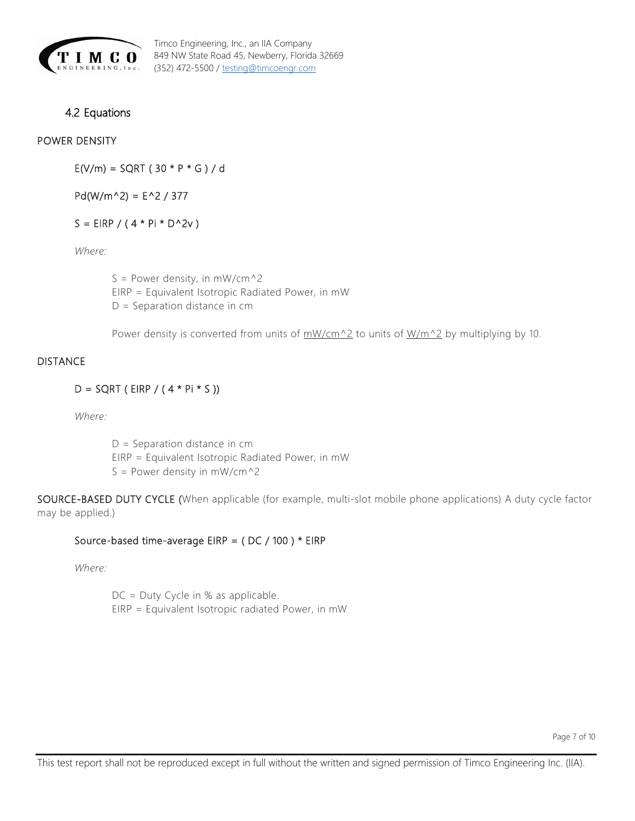

## <span id="page-6-0"></span>4.2 Equations

#### POWER DENSITY

 $E(V/m) = SQRT(30 * P * G)/d$ 

 $Pd(W/m^2) = E^2 / 377$ 

 $S = EIRP / (4 * Pi * D^2V)$ 

*Where:*

S = Power density, in  $mW/cm^2$ EIRP = Equivalent Isotropic Radiated Power, in mW D = Separation distance in cm

Power density is converted from units of  $\frac{mW/cm^22}{m}$  to units of  $\frac{W/m^22}{m}$  by multiplying by 10.

#### DISTANCE

#### $D = SQRT ( EIRP / (4 * Pi * S ) )$

*Where:*

D = Separation distance in cm EIRP = Equivalent Isotropic Radiated Power, in mW  $S = Power density in mW/cm^2$ 

SOURCE-BASED DUTY CYCLE (When applicable (for example, multi-slot mobile phone applications) A duty cycle factor may be applied.)

#### Source-based time-average EIRP = ( DC / 100 ) \* EIRP

*Where:*

DC = Duty Cycle in % as applicable. EIRP = Equivalent Isotropic radiated Power, in mW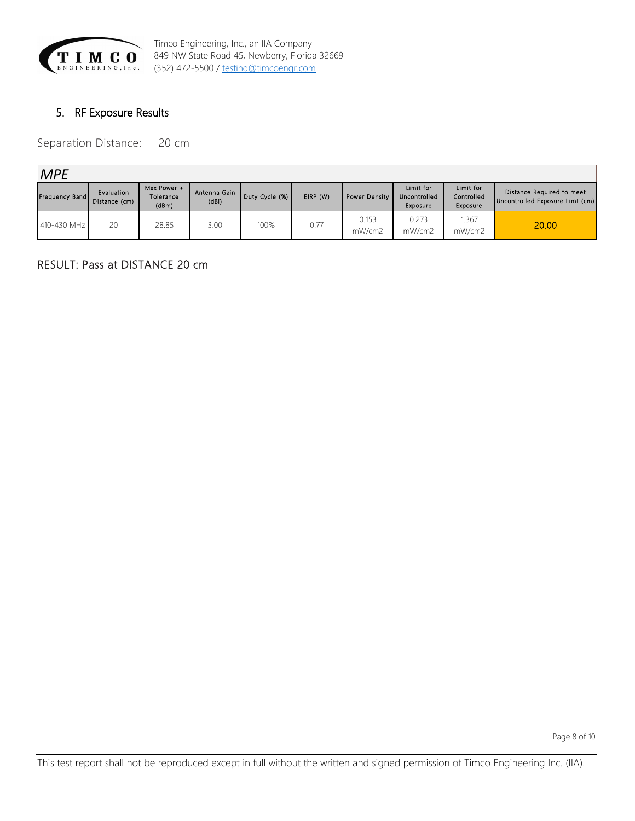

## <span id="page-7-0"></span>5. RF Exposure Results

Separation Distance: 20 cm

*MPE*

| Frequency Band | Evaluation<br>Distance (cm) | Max Power +<br>Tolerance<br>(dBm) | Antenna Gain<br>(dBi) | Duty Cycle (%) | EIRP (W) | <b>Power Density</b> | Limit for<br>Uncontrolled<br>Exposure | Limit for<br>Controlled<br>Exposure | Distance Required to meet<br>Uncontrolled Exposure Limt (cm) |
|----------------|-----------------------------|-----------------------------------|-----------------------|----------------|----------|----------------------|---------------------------------------|-------------------------------------|--------------------------------------------------------------|
| 410-430 MHz    | 20                          | 28.85                             | 3.00                  | 100%           | 0.77     | 0.153<br>mW/cm2      | 0.273<br>mW/cm2                       | .367<br>mW/cm2                      | 20.00                                                        |

## RESULT: Pass at DISTANCE 20 cm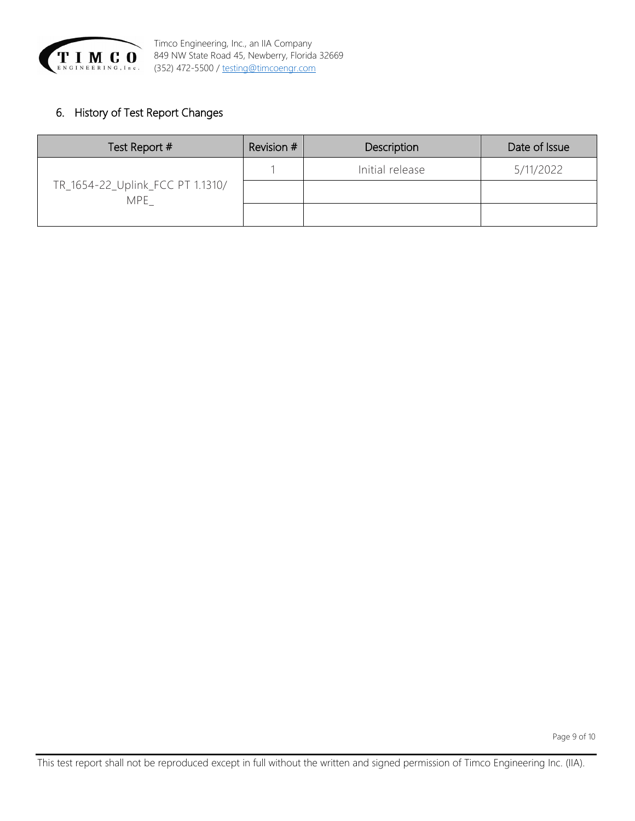

# <span id="page-8-0"></span>6. History of Test Report Changes

| Test Report #                            | Revision # | Description     | Date of Issue |
|------------------------------------------|------------|-----------------|---------------|
|                                          |            | Initial release | 5/11/2022     |
| TR_1654-22_Uplink_FCC PT 1.1310/<br>MPE. |            |                 |               |
|                                          |            |                 |               |